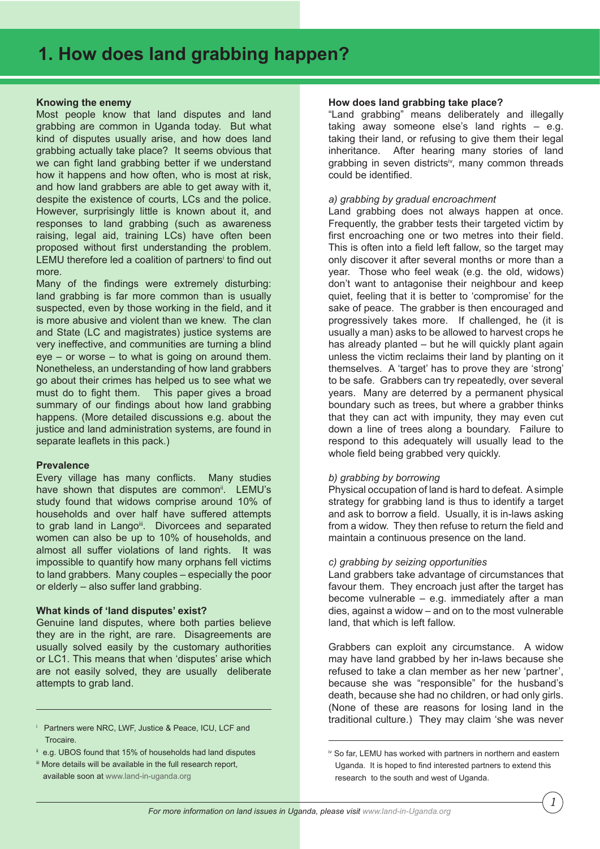## **Knowing the enemy**

Most people know that land disputes and land grabbing are common in Uganda today. But what kind of disputes usually arise, and how does land grabbing actually take place? It seems obvious that we can fight land grabbing better if we understand how it happens and how often, who is most at risk, and how land grabbers are able to get away with it, despite the existence of courts, LCs and the police. However, surprisingly little is known about it, and responses to land grabbing (such as awareness raising, legal aid, training LCs) have often been proposed without first understanding the problem. LEMU therefore led a coalition of partners' to find out more.

Many of the findings were extremely disturbing: land grabbing is far more common than is usually suspected, even by those working in the field, and it is more abusive and violent than we knew. The clan and State (LC and magistrates) justice systems are very ineffective, and communities are turning a blind eye – or worse – to what is going on around them. Nonetheless, an understanding of how land grabbers go about their crimes has helped us to see what we must do to fight them. This paper gives a broad summary of our findings about how land grabbing happens. (More detailed discussions e.g. about the justice and land administration systems, are found in separate leaflets in this pack.)

#### **Prevalence**

Every village has many conflicts. Many studies have shown that disputes are common<sup>ii</sup>. LEMU's study found that widows comprise around 10% of households and over half have suffered attempts to grab land in Lango<sup>ii</sup>. Divorcees and separated women can also be up to 10% of households, and almost all suffer violations of land rights. It was impossible to quantify how many orphans fell victims to land grabbers. Many couples – especially the poor or elderly – also suffer land grabbing.

#### **What kinds of 'land disputes' exist?**

Genuine land disputes, where both parties believe they are in the right, are rare. Disagreements are usually solved easily by the customary authorities or LC1. This means that when 'disputes' arise which are not easily solved, they are usually deliberate attempts to grab land.

#### i Partners were NRC, LWF, Justice & Peace, ICU, LCF and Trocaire.

iii More details will be available in the full research report, available soon at www.land-in-uganda.org

#### **How does land grabbing take place?**

"Land grabbing" means deliberately and illegally taking away someone else's land rights – e.g. taking their land, or refusing to give them their legal inheritance. After hearing many stories of land grabbing in seven districts<sup>iv</sup>, many common threads could be identified.

## *a) grabbing by gradual encroachment*

Land grabbing does not always happen at once. Frequently, the grabber tests their targeted victim by first encroaching one or two metres into their field. This is often into a field left fallow, so the target may only discover it after several months or more than a year. Those who feel weak (e.g. the old, widows) don't want to antagonise their neighbour and keep quiet, feeling that it is better to 'compromise' for the sake of peace. The grabber is then encouraged and progressively takes more. If challenged, he (it is usually a man) asks to be allowed to harvest crops he has already planted – but he will quickly plant again unless the victim reclaims their land by planting on it themselves. A 'target' has to prove they are 'strong' to be safe. Grabbers can try repeatedly, over several years. Many are deterred by a permanent physical boundary such as trees, but where a grabber thinks that they can act with impunity, they may even cut down a line of trees along a boundary. Failure to respond to this adequately will usually lead to the whole field being grabbed very quickly.

# *b) grabbing by borrowing*

Physical occupation of land is hard to defeat. A simple strategy for grabbing land is thus to identify a target and ask to borrow a field. Usually, it is in-laws asking from a widow. They then refuse to return the field and maintain a continuous presence on the land.

#### *c) grabbing by seizing opportunities*

Land grabbers take advantage of circumstances that favour them. They encroach just after the target has become vulnerable – e.g. immediately after a man dies, against a widow – and on to the most vulnerable land, that which is left fallow.

Grabbers can exploit any circumstance. A widow may have land grabbed by her in-laws because she refused to take a clan member as her new 'partner', because she was "responsible" for the husband's death, because she had no children, or had only girls. (None of these are reasons for losing land in the traditional culture.) They may claim 'she was never

e.g. UBOS found that 15% of households had land disputes

iv So far, LEMU has worked with partners in northern and eastern Uganda. It is hoped to find interested partners to extend this research to the south and west of Uganda.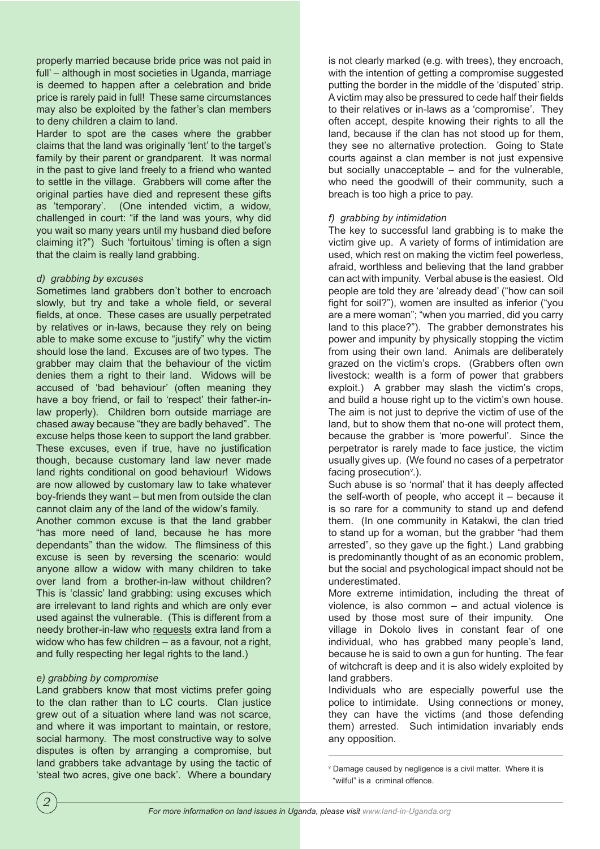properly married because bride price was not paid in full' – although in most societies in Uganda, marriage is deemed to happen after a celebration and bride price is rarely paid in full! These same circumstances may also be exploited by the father's clan members to deny children a claim to land.

Harder to spot are the cases where the grabber claims that the land was originally 'lent' to the target's family by their parent or grandparent. It was normal in the past to give land freely to a friend who wanted to settle in the village. Grabbers will come after the original parties have died and represent these gifts as 'temporary'. (One intended victim, a widow, challenged in court: "if the land was yours, why did you wait so many years until my husband died before claiming it?") Such 'fortuitous' timing is often a sign that the claim is really land grabbing.

## *d) grabbing by excuses*

Sometimes land grabbers don't bother to encroach slowly, but try and take a whole field, or several fields, at once. These cases are usually perpetrated by relatives or in-laws, because they rely on being able to make some excuse to "justify" why the victim should lose the land. Excuses are of two types. The grabber may claim that the behaviour of the victim denies them a right to their land. Widows will be accused of 'bad behaviour' (often meaning they have a boy friend, or fail to 'respect' their father-inlaw properly). Children born outside marriage are chased away because "they are badly behaved". The excuse helps those keen to support the land grabber. These excuses, even if true, have no justification though, because customary land law never made land rights conditional on good behaviour! Widows are now allowed by customary law to take whatever boy-friends they want – but men from outside the clan cannot claim any of the land of the widow's family.

Another common excuse is that the land grabber "has more need of land, because he has more dependants" than the widow. The flimsiness of this excuse is seen by reversing the scenario: would anyone allow a widow with many children to take over land from a brother-in-law without children? This is 'classic' land grabbing: using excuses which are irrelevant to land rights and which are only ever used against the vulnerable. (This is different from a needy brother-in-law who requests extra land from a widow who has few children – as a favour, not a right, and fully respecting her legal rights to the land.)

# *e) grabbing by compromise*

Land grabbers know that most victims prefer going to the clan rather than to LC courts. Clan justice grew out of a situation where land was not scarce, and where it was important to maintain, or restore, social harmony. The most constructive way to solve disputes is often by arranging a compromise, but land grabbers take advantage by using the tactic of 'steal two acres, give one back'. Where a boundary

is not clearly marked (e.g. with trees), they encroach, with the intention of getting a compromise suggested putting the border in the middle of the 'disputed' strip. A victim may also be pressured to cede half their fields to their relatives or in-laws as a 'compromise'. They often accept, despite knowing their rights to all the land, because if the clan has not stood up for them, they see no alternative protection. Going to State courts against a clan member is not just expensive but socially unacceptable – and for the vulnerable, who need the goodwill of their community, such a breach is too high a price to pay.

## *f) grabbing by intimidation*

The key to successful land grabbing is to make the victim give up. A variety of forms of intimidation are used, which rest on making the victim feel powerless, afraid, worthless and believing that the land grabber can act with impunity. Verbal abuse is the easiest. Old people are told they are 'already dead' ("how can soil fight for soil?"), women are insulted as inferior ("you are a mere woman"; "when you married, did you carry land to this place?"). The grabber demonstrates his power and impunity by physically stopping the victim from using their own land. Animals are deliberately grazed on the victim's crops. (Grabbers often own livestock: wealth is a form of power that grabbers exploit.) A grabber may slash the victim's crops, and build a house right up to the victim's own house. The aim is not just to deprive the victim of use of the land, but to show them that no-one will protect them, because the grabber is 'more powerful'. Since the perpetrator is rarely made to face justice, the victim usually gives up. (We found no cases of a perpetrator facing prosecution<sup>v</sup>.).

Such abuse is so 'normal' that it has deeply affected the self-worth of people, who accept it – because it is so rare for a community to stand up and defend them. (In one community in Katakwi, the clan tried to stand up for a woman, but the grabber "had them arrested", so they gave up the fight.) Land grabbing is predominantly thought of as an economic problem, but the social and psychological impact should not be underestimated.

More extreme intimidation, including the threat of violence, is also common – and actual violence is used by those most sure of their impunity. One village in Dokolo lives in constant fear of one individual, who has grabbed many people's land, because he is said to own a gun for hunting. The fear of witchcraft is deep and it is also widely exploited by land grabbers.

Individuals who are especially powerful use the police to intimidate. Using connections or money, they can have the victims (and those defending them) arrested. Such intimidation invariably ends any opposition.

v Damage caused by negligence is a civil matter. Where it is "wilful" is a criminal offence.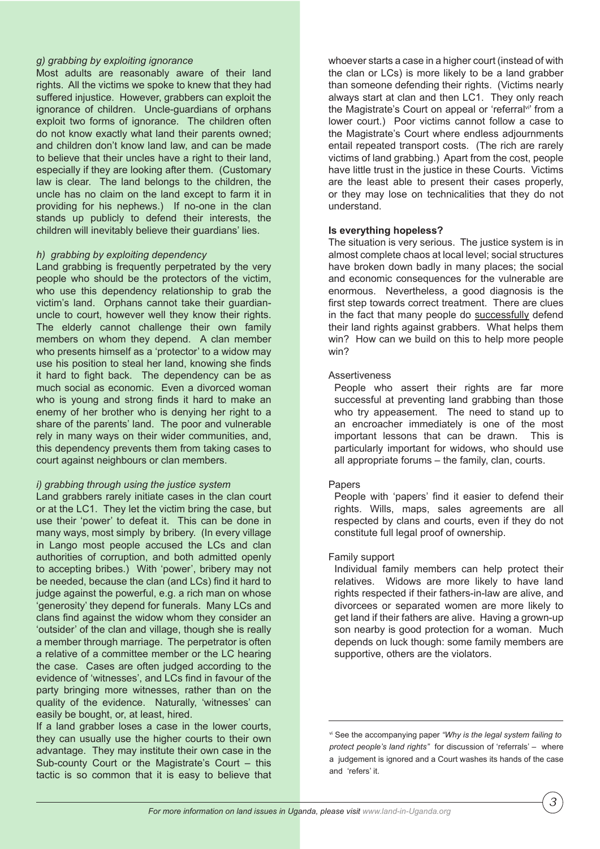## *g) grabbing by exploiting ignorance*

Most adults are reasonably aware of their land rights. All the victims we spoke to knew that they had suffered injustice. However, grabbers can exploit the ignorance of children. Uncle-guardians of orphans exploit two forms of ignorance. The children often do not know exactly what land their parents owned; and children don't know land law, and can be made to believe that their uncles have a right to their land, especially if they are looking after them. (Customary law is clear. The land belongs to the children, the uncle has no claim on the land except to farm it in providing for his nephews.) If no-one in the clan stands up publicly to defend their interests, the children will inevitably believe their guardians' lies.

## *h) grabbing by exploiting dependency*

Land grabbing is frequently perpetrated by the very people who should be the protectors of the victim, who use this dependency relationship to grab the victim's land. Orphans cannot take their guardianuncle to court, however well they know their rights. The elderly cannot challenge their own family members on whom they depend. A clan member who presents himself as a 'protector' to a widow may use his position to steal her land, knowing she finds it hard to fight back. The dependency can be as much social as economic. Even a divorced woman who is young and strong finds it hard to make an enemy of her brother who is denying her right to a share of the parents' land. The poor and vulnerable rely in many ways on their wider communities, and, this dependency prevents them from taking cases to court against neighbours or clan members.

#### *i) grabbing through using the justice system*

Land grabbers rarely initiate cases in the clan court or at the LC1. They let the victim bring the case, but use their 'power' to defeat it. This can be done in many ways, most simply by bribery. (In every village in Lango most people accused the LCs and clan authorities of corruption, and both admitted openly to accepting bribes.) With 'power', bribery may not be needed, because the clan (and LCs) find it hard to judge against the powerful, e.g. a rich man on whose 'generosity' they depend for funerals. Many LCs and clans find against the widow whom they consider an 'outsider' of the clan and village, though she is really a member through marriage. The perpetrator is often a relative of a committee member or the LC hearing the case. Cases are often judged according to the evidence of 'witnesses', and LCs find in favour of the party bringing more witnesses, rather than on the quality of the evidence. Naturally, 'witnesses' can easily be bought, or, at least, hired.

If a land grabber loses a case in the lower courts, they can usually use the higher courts to their own advantage. They may institute their own case in the Sub-county Court or the Magistrate's Court – this tactic is so common that it is easy to believe that

whoever starts a case in a higher court (instead of with the clan or LCs) is more likely to be a land grabber than someone defending their rights. (Victims nearly always start at clan and then LC1. They only reach the Magistrate's Court on appeal or 'referral<sup>vi'</sup> from a lower court.) Poor victims cannot follow a case to the Magistrate's Court where endless adjournments entail repeated transport costs. (The rich are rarely victims of land grabbing.) Apart from the cost, people have little trust in the justice in these Courts. Victims are the least able to present their cases properly, or they may lose on technicalities that they do not understand.

## **Is everything hopeless?**

The situation is very serious. The justice system is in almost complete chaos at local level; social structures have broken down badly in many places; the social and economic consequences for the vulnerable are enormous. Nevertheless, a good diagnosis is the first step towards correct treatment. There are clues in the fact that many people do successfully defend their land rights against grabbers. What helps them win? How can we build on this to help more people win?

## Assertiveness

People who assert their rights are far more successful at preventing land grabbing than those who try appeasement. The need to stand up to an encroacher immediately is one of the most important lessons that can be drawn. This is particularly important for widows, who should use all appropriate forums – the family, clan, courts.

#### Papers

People with 'papers' find it easier to defend their rights. Wills, maps, sales agreements are all respected by clans and courts, even if they do not constitute full legal proof of ownership.

#### Family support

Individual family members can help protect their relatives. Widows are more likely to have land rights respected if their fathers-in-law are alive, and divorcees or separated women are more likely to get land if their fathers are alive. Having a grown-up son nearby is good protection for a woman. Much depends on luck though: some family members are supportive, others are the violators.

vi See the accompanying paper *"Why is the legal system failing to protect people's land rights"* for discussion of 'referrals' – where a judgement is ignored and a Court washes its hands of the case and 'refers' it.